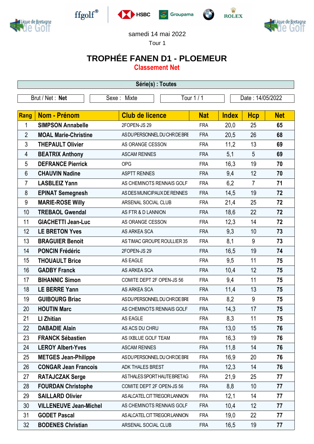



 $\operatorname{ffgolf}^{\circledast}$ 







samedi 14 mai 2022

Tour 1

## **TROPHÉE FANEN D1 - PLOEMEUR**

**Classement Net**

| Série(s) : Toutes |                               |                               |            |              |                  |            |  |
|-------------------|-------------------------------|-------------------------------|------------|--------------|------------------|------------|--|
| Brut / Net : Net  |                               | Sexe: Mixte                   | Tour 1 / 1 |              | Date: 14/05/2022 |            |  |
|                   |                               |                               |            |              |                  |            |  |
| <b>Rang</b>       | Nom - Prénom                  | <b>Club de licence</b>        | <b>Nat</b> | <b>Index</b> | <b>Hcp</b>       | <b>Net</b> |  |
| 1                 | <b>SIMPSON Annabelle</b>      | 2FOPEN-JS 29                  | <b>FRA</b> | 20,0         | 25               | 65         |  |
| $\overline{2}$    | <b>MOAL Marie-Christine</b>   | AS DU PERSONNEL DU CHR DE BRE | <b>FRA</b> | 20,5         | 26               | 68         |  |
| 3                 | <b>THEPAULT Olivier</b>       | AS ORANGE CESSON              | <b>FRA</b> | 11,2         | 13               | 69         |  |
| 4                 | <b>BEATRIX Anthony</b>        | <b>ASCAM RENNES</b>           | <b>FRA</b> | 5,1          | 5                | 69         |  |
| 5                 | <b>DEFRANCE Pierrick</b>      | OPG                           | <b>FRA</b> | 16,3         | 19               | 70         |  |
| 6                 | <b>CHAUVIN Nadine</b>         | <b>ASPTT RENNES</b>           | <b>FRA</b> | 9,4          | 12               | 70         |  |
| $\overline{7}$    | <b>LASBLEIZ Yann</b>          | AS CHEMINOTS RENNAIS GOLF     | <b>FRA</b> | 6,2          | $\overline{7}$   | 71         |  |
| 8                 | <b>EPINAT Semegnesh</b>       | AS DES MUNICIPAUX DE RENNES   | <b>FRA</b> | 14,5         | 19               | 72         |  |
| 9                 | <b>MARIE-ROSE Willy</b>       | ARSENAL SOCIAL CLUB           | <b>FRA</b> | 21,4         | 25               | 72         |  |
| 10                | <b>TREBAOL Gwendal</b>        | AS FTR & D LANNION            | <b>FRA</b> | 18,6         | 22               | 72         |  |
| 11                | <b>GIACHETTI Jean-Luc</b>     | AS ORANGE CESSON              | <b>FRA</b> | 12,3         | 14               | 72         |  |
| 12                | <b>LE BRETON Yves</b>         | AS ARKEA SCA                  | <b>FRA</b> | 9,3          | 10               | 73         |  |
| 13                | <b>BRAGUIER Benoit</b>        | AS TIMAC GROUPE ROULLIER 35   | <b>FRA</b> | 8,1          | 9                | 73         |  |
| 14                | <b>PONCIN Frédéric</b>        | 2FOPEN-JS 29                  | <b>FRA</b> | 16,5         | 19               | 74         |  |
| 15                | <b>THOUAULT Brice</b>         | AS EAGLE                      | <b>FRA</b> | 9,5          | 11               | 75         |  |
| 16                | <b>GADBY Franck</b>           | AS ARKEA SCA                  | <b>FRA</b> | 10,4         | 12               | 75         |  |
| 17                | <b>BIHANNIC Simon</b>         | COMITE DEPT 2F OPEN-JS 56     | <b>FRA</b> | 9,4          | 11               | 75         |  |
| 18                | <b>LE BERRE Yann</b>          | AS ARKEA SCA                  | <b>FRA</b> | 11,4         | 13               | 75         |  |
| 19                | <b>GUIBOURG Briac</b>         | AS DU PERSONNEL DU CHR DE BRE | <b>FRA</b> | 8,2          | 9                | 75         |  |
| 20                | <b>HOUTIN Marc</b>            | AS CHEMINOTS RENNAIS GOLF     | <b>FRA</b> | 14,3         | 17               | 75         |  |
| 21                | <b>LI Zhitian</b>             | AS EAGLE                      | <b>FRA</b> | 8,3          | 11               | 75         |  |
| 22                | <b>DABADIE Alain</b>          | AS ACS DU CHRU                | <b>FRA</b> | 13,0         | 15               | 76         |  |
| 23                | <b>FRANCK Sébastien</b>       | AS IXBLUE GOLF TEAM           | <b>FRA</b> | 16,3         | 19               | 76         |  |
| 24                | <b>LEROY Albert-Yves</b>      | <b>ASCAM RENNES</b>           | <b>FRA</b> | 11,8         | 14               | 76         |  |
| 25                | <b>METGES Jean-Philippe</b>   | AS DU PERSONNEL DU CHR DE BRE | <b>FRA</b> | 16,9         | 20               | 76         |  |
| 26                | <b>CONGAR Jean Francois</b>   | ADK THALES BREST              | <b>FRA</b> | 12,3         | 14               | 76         |  |
| 27                | <b>RATAJCZAK Serge</b>        | AS THALES SPORT HAUTE BRETAG  | <b>FRA</b> | 21,9         | 25               | 77         |  |
| 28                | <b>FOURDAN Christophe</b>     | COMITE DEPT 2F OPEN-JS 56     | <b>FRA</b> | 8,8          | 10               | 77         |  |
| 29                | <b>SAILLARD Olivier</b>       | AS ALCATEL CIT TREGOR LANNION | <b>FRA</b> | 12,1         | 14               | 77         |  |
| 30                | <b>VILLENEUVE Jean-Michel</b> | AS CHEMINOTS RENNAIS GOLF     | <b>FRA</b> | 10,4         | 12               | 77         |  |
| 31                | <b>GODET Pascal</b>           | AS ALCATEL CIT TREGOR LANNION | <b>FRA</b> | 19,0         | 22               | 77         |  |
| 32                | <b>BODENES Christian</b>      | ARSENAL SOCIAL CLUB           | <b>FRA</b> | 16,5         | 19               | 77         |  |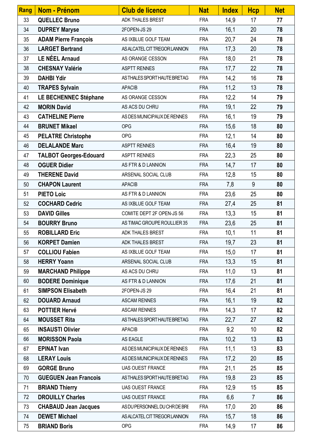| Rang | Nom - Prénom                  | <b>Club de licence</b>        | <b>Nat</b> | <b>Index</b> | <b>Hcp</b>     | <b>Net</b> |
|------|-------------------------------|-------------------------------|------------|--------------|----------------|------------|
| 33   | <b>QUELLEC Bruno</b>          | ADK THALES BREST              | <b>FRA</b> | 14,9         | 17             | 77         |
| 34   | <b>DUPREY Maryse</b>          | 2FOPEN-JS 29                  | <b>FRA</b> | 16,1         | 20             | 78         |
| 35   | <b>ADAM Pierre François</b>   | AS IXBLUE GOLF TEAM           | <b>FRA</b> | 20,7         | 24             | 78         |
| 36   | <b>LARGET Bertrand</b>        | AS ALCATEL CIT TREGOR LANNION | <b>FRA</b> | 17,3         | 20             | 78         |
| 37   | <b>LE NÉEL Arnaud</b>         | AS ORANGE CESSON              | <b>FRA</b> | 18,0         | 21             | 78         |
| 38   | <b>CHESNAY Valérie</b>        | <b>ASPTT RENNES</b>           | <b>FRA</b> | 17,7         | 22             | 78         |
| 39   | <b>DAHBI Ydir</b>             | AS THALES SPORT HAUTE BRETAG  | <b>FRA</b> | 14,2         | 16             | 78         |
| 40   | <b>TRAPES Sylvain</b>         | <b>APACIB</b>                 | <b>FRA</b> | 11,2         | 13             | 78         |
| 41   | LE BECHENNEC Stéphane         | AS ORANGE CESSON              | <b>FRA</b> | 12,2         | 14             | 79         |
| 42   | <b>MORIN David</b>            | AS ACS DU CHRU                | <b>FRA</b> | 19,1         | 22             | 79         |
| 43   | <b>CATHELINE Pierre</b>       | AS DES MUNICIPAUX DE RENNES   | <b>FRA</b> | 16,1         | 19             | 79         |
| 44   | <b>BRUNET Mikael</b>          | <b>OPG</b>                    | <b>FRA</b> | 15,6         | 18             | 80         |
| 45   | <b>PELATRE Christophe</b>     | <b>OPG</b>                    | <b>FRA</b> | 12,1         | 14             | 80         |
| 46   | <b>DELALANDE Marc</b>         | <b>ASPTT RENNES</b>           | <b>FRA</b> | 16,4         | 19             | 80         |
| 47   | <b>TALBOT Georges-Edouard</b> | <b>ASPTT RENNES</b>           | <b>FRA</b> | 22,3         | 25             | 80         |
| 48   | <b>OGUER Didier</b>           | AS FTR & D LANNION            | <b>FRA</b> | 14,7         | 17             | 80         |
| 49   | <b>THERENE David</b>          | ARSENAL SOCIAL CLUB           | <b>FRA</b> | 12,8         | 15             | 80         |
| 50   | <b>CHAPON Laurent</b>         | <b>APACIB</b>                 | <b>FRA</b> | 7,8          | 9              | 80         |
| 51   | <b>PIETO Loic</b>             | AS FTR & D LANNION            | <b>FRA</b> | 23,6         | 25             | 80         |
| 52   | <b>COCHARD Cedric</b>         | AS IXBLUE GOLF TEAM           | <b>FRA</b> | 27,4         | 25             | 81         |
| 53   | <b>DAVID Gilles</b>           | COMITE DEPT 2F OPEN-JS 56     | <b>FRA</b> | 13,3         | 15             | 81         |
| 54   | <b>BOURRY Bruno</b>           | AS TIMAC GROUPE ROULLIER 35   | <b>FRA</b> | 23,6         | 25             | 81         |
| 55   | <b>ROBILLARD Eric</b>         | ADK THALES BREST              | <b>FRA</b> | 10,1         | 11             | 81         |
| 56   | <b>KORPET Damien</b>          | <b>ADK THALES BREST</b>       | <b>FRA</b> | 19,7         | 23             | 81         |
| 57   | <b>COLLIOU Fabien</b>         | AS IXBLUE GOLF TEAM           | <b>FRA</b> | 15,0         | 17             | 81         |
| 58   | <b>HERRY Yoann</b>            | ARSENAL SOCIAL CLUB           | <b>FRA</b> | 13,3         | 15             | 81         |
| 59   | <b>MARCHAND Philippe</b>      | AS ACS DU CHRU                | <b>FRA</b> | 11,0         | 13             | 81         |
| 60   | <b>BODERE Dominique</b>       | AS FTR & D LANNION            | <b>FRA</b> | 17,6         | 21             | 81         |
| 61   | <b>SIMPSON Elisabeth</b>      | 2FOPEN-JS 29                  | <b>FRA</b> | 16,4         | 21             | 81         |
| 62   | <b>DOUARD Arnaud</b>          | <b>ASCAM RENNES</b>           | <b>FRA</b> | 16,1         | 19             | 82         |
| 63   | <b>POTTIER Hervé</b>          | <b>ASCAM RENNES</b>           | <b>FRA</b> | 14,3         | 17             | 82         |
| 64   | <b>MOUSSET Rita</b>           | AS THALES SPORT HAUTE BRETAG  | <b>FRA</b> | 22,7         | 27             | 82         |
| 65   | <b>INSAUSTI Olivier</b>       | <b>APACIB</b>                 | <b>FRA</b> | 9,2          | 10             | 82         |
| 66   | <b>MORISSON Paola</b>         | AS EAGLE                      | <b>FRA</b> | 10,2         | 13             | 83         |
| 67   | <b>EPINAT Ivan</b>            | AS DES MUNICIPAUX DE RENNES   | <b>FRA</b> | 11,1         | 13             | 83         |
| 68   | <b>LERAY Louis</b>            | AS DES MUNICIPAUX DE RENNES   | <b>FRA</b> | 17,2         | 20             | 85         |
| 69   | <b>GORGE Bruno</b>            | <b>UAS OUEST FRANCE</b>       | <b>FRA</b> | 21,1         | 25             | 85         |
| 70   | <b>GUEGUEN Jean Francois</b>  | AS THALES SPORT HAUTE BRETAG  | <b>FRA</b> | 19,8         | 23             | 85         |
| 71   | <b>BRIAND Thierry</b>         | UAS OUEST FRANCE              | <b>FRA</b> | 12,9         | 15             | 85         |
| 72   | <b>DROUILLY Charles</b>       | UAS OUEST FRANCE              | <b>FRA</b> | 6,6          | $\overline{7}$ | 86         |
| 73   | <b>CHABAUD Jean Jacques</b>   | AS DU PERSONNEL DU CHR DE BRE | <b>FRA</b> | 17,0         | 20             | 86         |
| 74   | <b>DEWET Michael</b>          | AS ALCATEL CIT TREGOR LANNION | <b>FRA</b> | 15,7         | 18             | 86         |
| 75   | <b>BRIAND Boris</b>           | <b>OPG</b>                    | <b>FRA</b> | 14,9         | 17             | 86         |